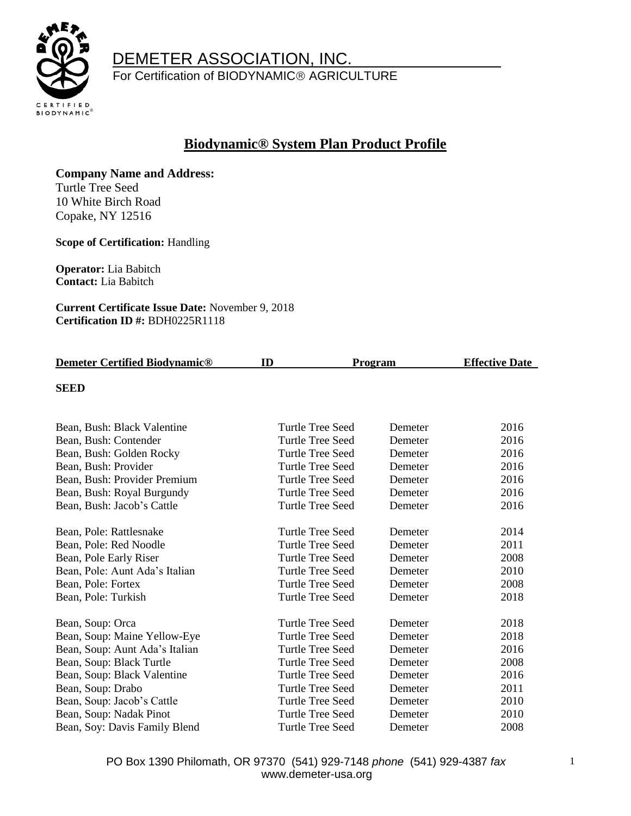

For Certification of BIODYNAMIC<sup>®</sup> AGRICULTURE

#### **Biodynamic® System Plan Product Profile**

**Company Name and Address:**  Turtle Tree Seed

10 White Birch Road Copake, NY 12516

**Scope of Certification:** Handling

**Operator:** Lia Babitch **Contact:** Lia Babitch

**Current Certificate Issue Date:** November 9, 2018 **Certification ID #:** BDH0225R1118

| <b>Demeter Certified Biodynamic®</b> | ID<br><b>Program</b>    |         | <b>Effective Date</b> |
|--------------------------------------|-------------------------|---------|-----------------------|
| <b>SEED</b>                          |                         |         |                       |
| Bean, Bush: Black Valentine          | Turtle Tree Seed        | Demeter | 2016                  |
| Bean, Bush: Contender                | Turtle Tree Seed        | Demeter | 2016                  |
| Bean, Bush: Golden Rocky             | Turtle Tree Seed        | Demeter | 2016                  |
| Bean, Bush: Provider                 | <b>Turtle Tree Seed</b> | Demeter | 2016                  |
| Bean, Bush: Provider Premium         | Turtle Tree Seed        | Demeter | 2016                  |
| Bean, Bush: Royal Burgundy           | <b>Turtle Tree Seed</b> | Demeter | 2016                  |
| Bean, Bush: Jacob's Cattle           | <b>Turtle Tree Seed</b> | Demeter | 2016                  |
| Bean, Pole: Rattlesnake              | Turtle Tree Seed        | Demeter | 2014                  |
| Bean, Pole: Red Noodle               | Turtle Tree Seed        | Demeter | 2011                  |
| Bean, Pole Early Riser               | <b>Turtle Tree Seed</b> | Demeter | 2008                  |
| Bean, Pole: Aunt Ada's Italian       | Turtle Tree Seed        | Demeter | 2010                  |
| Bean, Pole: Fortex                   | <b>Turtle Tree Seed</b> | Demeter | 2008                  |
| Bean, Pole: Turkish                  | <b>Turtle Tree Seed</b> | Demeter | 2018                  |
| Bean, Soup: Orca                     | Turtle Tree Seed        | Demeter | 2018                  |
| Bean, Soup: Maine Yellow-Eye         | <b>Turtle Tree Seed</b> | Demeter | 2018                  |
| Bean, Soup: Aunt Ada's Italian       | Turtle Tree Seed        | Demeter | 2016                  |
| Bean, Soup: Black Turtle             | Turtle Tree Seed        | Demeter | 2008                  |
| Bean, Soup: Black Valentine          | <b>Turtle Tree Seed</b> | Demeter | 2016                  |
| Bean, Soup: Drabo                    | <b>Turtle Tree Seed</b> | Demeter | 2011                  |
| Bean, Soup: Jacob's Cattle           | <b>Turtle Tree Seed</b> | Demeter | 2010                  |
| Bean, Soup: Nadak Pinot              | <b>Turtle Tree Seed</b> | Demeter | 2010                  |
| Bean, Soy: Davis Family Blend        | <b>Turtle Tree Seed</b> | Demeter | 2008                  |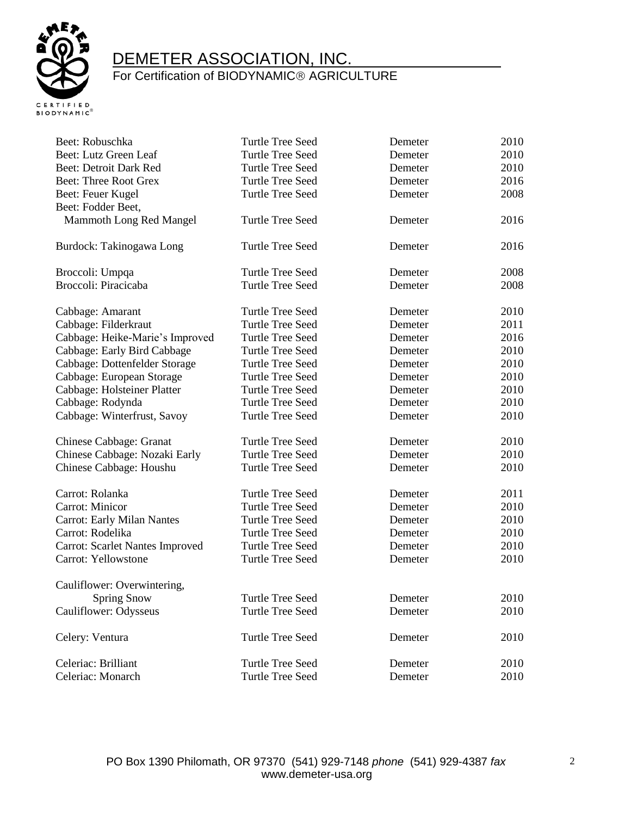

| Beet: Robuschka                   | <b>Turtle Tree Seed</b> | Demeter | 2010 |
|-----------------------------------|-------------------------|---------|------|
| Beet: Lutz Green Leaf             | <b>Turtle Tree Seed</b> | Demeter | 2010 |
| <b>Beet: Detroit Dark Red</b>     | <b>Turtle Tree Seed</b> | Demeter | 2010 |
| <b>Beet: Three Root Grex</b>      | Turtle Tree Seed        | Demeter | 2016 |
| Beet: Feuer Kugel                 | <b>Turtle Tree Seed</b> | Demeter | 2008 |
| Beet: Fodder Beet,                |                         |         |      |
| Mammoth Long Red Mangel           | <b>Turtle Tree Seed</b> | Demeter | 2016 |
| Burdock: Takinogawa Long          | <b>Turtle Tree Seed</b> | Demeter | 2016 |
| Broccoli: Umpqa                   | <b>Turtle Tree Seed</b> | Demeter | 2008 |
| Broccoli: Piracicaba              | <b>Turtle Tree Seed</b> | Demeter | 2008 |
| Cabbage: Amarant                  | <b>Turtle Tree Seed</b> | Demeter | 2010 |
| Cabbage: Filderkraut              | <b>Turtle Tree Seed</b> | Demeter | 2011 |
| Cabbage: Heike-Marie's Improved   | <b>Turtle Tree Seed</b> | Demeter | 2016 |
| Cabbage: Early Bird Cabbage       | <b>Turtle Tree Seed</b> | Demeter | 2010 |
| Cabbage: Dottenfelder Storage     | <b>Turtle Tree Seed</b> | Demeter | 2010 |
| Cabbage: European Storage         | <b>Turtle Tree Seed</b> | Demeter | 2010 |
| Cabbage: Holsteiner Platter       | <b>Turtle Tree Seed</b> | Demeter | 2010 |
| Cabbage: Rodynda                  | <b>Turtle Tree Seed</b> | Demeter | 2010 |
| Cabbage: Winterfrust, Savoy       | <b>Turtle Tree Seed</b> | Demeter | 2010 |
| Chinese Cabbage: Granat           | <b>Turtle Tree Seed</b> | Demeter | 2010 |
| Chinese Cabbage: Nozaki Early     | <b>Turtle Tree Seed</b> | Demeter | 2010 |
| Chinese Cabbage: Houshu           | <b>Turtle Tree Seed</b> | Demeter | 2010 |
| Carrot: Rolanka                   | <b>Turtle Tree Seed</b> | Demeter | 2011 |
| Carrot: Minicor                   | <b>Turtle Tree Seed</b> | Demeter | 2010 |
| <b>Carrot: Early Milan Nantes</b> | <b>Turtle Tree Seed</b> | Demeter | 2010 |
| Carrot: Rodelika                  | <b>Turtle Tree Seed</b> | Demeter | 2010 |
| Carrot: Scarlet Nantes Improved   | Turtle Tree Seed        | Demeter | 2010 |
| Carrot: Yellowstone               | <b>Turtle Tree Seed</b> | Demeter | 2010 |
| Cauliflower: Overwintering,       |                         |         |      |
| <b>Spring Snow</b>                | Turtle Tree Seed        | Demeter | 2010 |
| Cauliflower: Odysseus             | <b>Turtle Tree Seed</b> | Demeter | 2010 |
| Celery: Ventura                   | <b>Turtle Tree Seed</b> | Demeter | 2010 |
| Celeriac: Brilliant               | <b>Turtle Tree Seed</b> | Demeter | 2010 |
| Celeriac: Monarch                 | <b>Turtle Tree Seed</b> | Demeter | 2010 |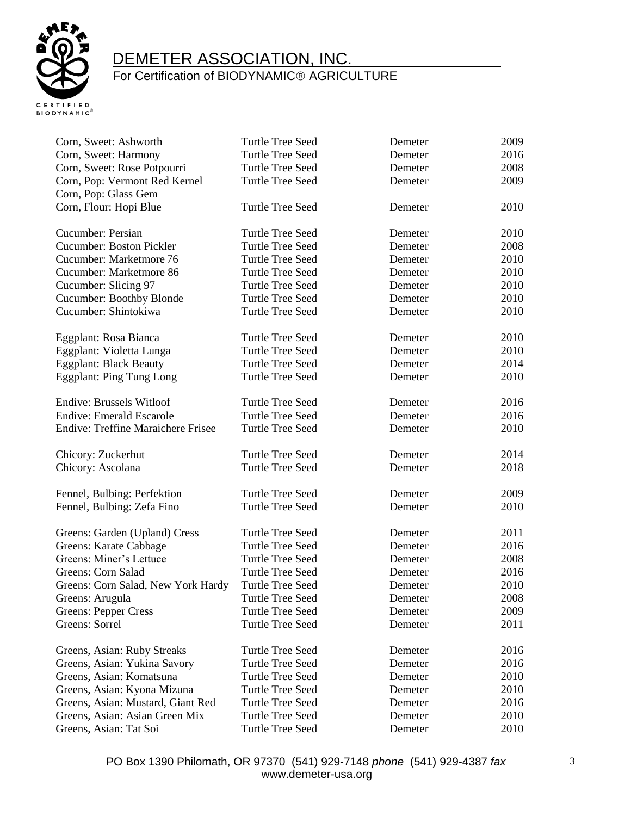

| Corn, Sweet: Ashworth                     | <b>Turtle Tree Seed</b> | Demeter | 2009 |
|-------------------------------------------|-------------------------|---------|------|
| Corn, Sweet: Harmony                      | <b>Turtle Tree Seed</b> | Demeter | 2016 |
| Corn, Sweet: Rose Potpourri               | Turtle Tree Seed        | Demeter | 2008 |
| Corn, Pop: Vermont Red Kernel             | Turtle Tree Seed        | Demeter | 2009 |
| Corn, Pop: Glass Gem                      |                         |         |      |
| Corn, Flour: Hopi Blue                    | <b>Turtle Tree Seed</b> | Demeter | 2010 |
| Cucumber: Persian                         | Turtle Tree Seed        | Demeter | 2010 |
| <b>Cucumber: Boston Pickler</b>           | <b>Turtle Tree Seed</b> | Demeter | 2008 |
| Cucumber: Marketmore 76                   | <b>Turtle Tree Seed</b> | Demeter | 2010 |
| Cucumber: Marketmore 86                   | <b>Turtle Tree Seed</b> | Demeter | 2010 |
| Cucumber: Slicing 97                      | <b>Turtle Tree Seed</b> | Demeter | 2010 |
| <b>Cucumber: Boothby Blonde</b>           | <b>Turtle Tree Seed</b> | Demeter | 2010 |
| Cucumber: Shintokiwa                      | <b>Turtle Tree Seed</b> | Demeter | 2010 |
| Eggplant: Rosa Bianca                     | Turtle Tree Seed        | Demeter | 2010 |
| Eggplant: Violetta Lunga                  | <b>Turtle Tree Seed</b> | Demeter | 2010 |
| <b>Eggplant: Black Beauty</b>             | <b>Turtle Tree Seed</b> | Demeter | 2014 |
| <b>Eggplant: Ping Tung Long</b>           | Turtle Tree Seed        | Demeter | 2010 |
| <b>Endive: Brussels Witloof</b>           | <b>Turtle Tree Seed</b> | Demeter | 2016 |
| <b>Endive: Emerald Escarole</b>           | <b>Turtle Tree Seed</b> | Demeter | 2016 |
| <b>Endive: Treffine Maraichere Frisee</b> | <b>Turtle Tree Seed</b> | Demeter | 2010 |
| Chicory: Zuckerhut                        | <b>Turtle Tree Seed</b> | Demeter | 2014 |
| Chicory: Ascolana                         | <b>Turtle Tree Seed</b> | Demeter | 2018 |
| Fennel, Bulbing: Perfektion               | <b>Turtle Tree Seed</b> | Demeter | 2009 |
| Fennel, Bulbing: Zefa Fino                | <b>Turtle Tree Seed</b> | Demeter | 2010 |
| Greens: Garden (Upland) Cress             | <b>Turtle Tree Seed</b> | Demeter | 2011 |
| Greens: Karate Cabbage                    | <b>Turtle Tree Seed</b> | Demeter | 2016 |
| Greens: Miner's Lettuce                   | <b>Turtle Tree Seed</b> | Demeter | 2008 |
| Greens: Corn Salad                        | <b>Turtle Tree Seed</b> | Demeter | 2016 |
| Greens: Corn Salad, New York Hardy        | <b>Turtle Tree Seed</b> | Demeter | 2010 |
| Greens: Arugula                           | <b>Turtle Tree Seed</b> | Demeter | 2008 |
| <b>Greens: Pepper Cress</b>               | <b>Turtle Tree Seed</b> | Demeter | 2009 |
| Greens: Sorrel                            | <b>Turtle Tree Seed</b> | Demeter | 2011 |
| Greens, Asian: Ruby Streaks               | <b>Turtle Tree Seed</b> | Demeter | 2016 |
| Greens, Asian: Yukina Savory              | <b>Turtle Tree Seed</b> | Demeter | 2016 |
| Greens, Asian: Komatsuna                  | <b>Turtle Tree Seed</b> | Demeter | 2010 |
| Greens, Asian: Kyona Mizuna               | <b>Turtle Tree Seed</b> | Demeter | 2010 |
| Greens, Asian: Mustard, Giant Red         | <b>Turtle Tree Seed</b> | Demeter | 2016 |
| Greens, Asian: Asian Green Mix            | <b>Turtle Tree Seed</b> | Demeter | 2010 |
| Greens, Asian: Tat Soi                    | <b>Turtle Tree Seed</b> | Demeter | 2010 |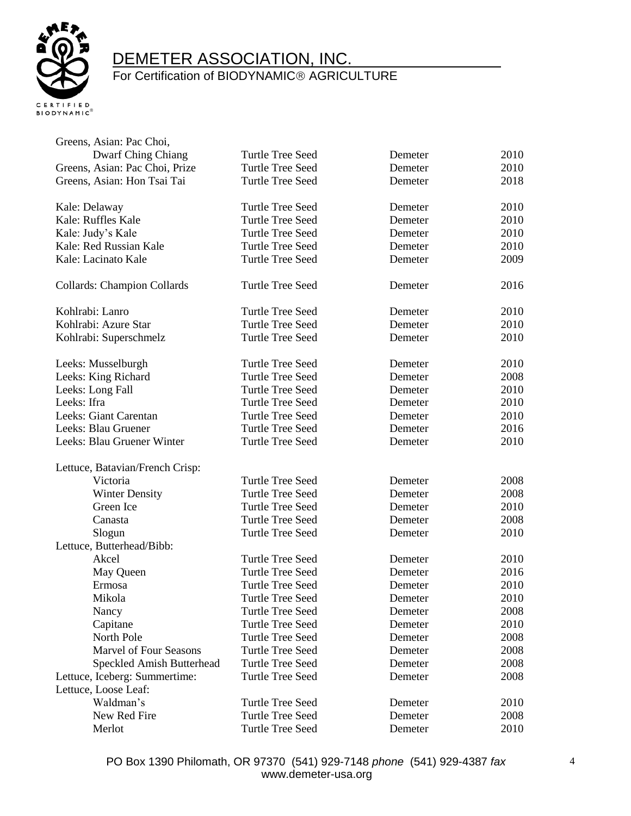

| Greens, Asian: Pac Choi,           |                         |         |      |
|------------------------------------|-------------------------|---------|------|
| <b>Dwarf Ching Chiang</b>          | <b>Turtle Tree Seed</b> | Demeter | 2010 |
| Greens, Asian: Pac Choi, Prize     | <b>Turtle Tree Seed</b> | Demeter | 2010 |
| Greens, Asian: Hon Tsai Tai        | <b>Turtle Tree Seed</b> | Demeter | 2018 |
| Kale: Delaway                      | <b>Turtle Tree Seed</b> | Demeter | 2010 |
| Kale: Ruffles Kale                 | <b>Turtle Tree Seed</b> | Demeter | 2010 |
| Kale: Judy's Kale                  | <b>Turtle Tree Seed</b> | Demeter | 2010 |
| Kale: Red Russian Kale             | <b>Turtle Tree Seed</b> | Demeter | 2010 |
| Kale: Lacinato Kale                | <b>Turtle Tree Seed</b> | Demeter | 2009 |
| <b>Collards: Champion Collards</b> | <b>Turtle Tree Seed</b> | Demeter | 2016 |
| Kohlrabi: Lanro                    | <b>Turtle Tree Seed</b> | Demeter | 2010 |
| Kohlrabi: Azure Star               | <b>Turtle Tree Seed</b> | Demeter | 2010 |
| Kohlrabi: Superschmelz             | <b>Turtle Tree Seed</b> | Demeter | 2010 |
| Leeks: Musselburgh                 | Turtle Tree Seed        | Demeter | 2010 |
| Leeks: King Richard                | <b>Turtle Tree Seed</b> | Demeter | 2008 |
| Leeks: Long Fall                   | <b>Turtle Tree Seed</b> | Demeter | 2010 |
| Leeks: Ifra                        | <b>Turtle Tree Seed</b> | Demeter | 2010 |
| Leeks: Giant Carentan              | <b>Turtle Tree Seed</b> | Demeter | 2010 |
| Leeks: Blau Gruener                | <b>Turtle Tree Seed</b> | Demeter | 2016 |
| Leeks: Blau Gruener Winter         | <b>Turtle Tree Seed</b> | Demeter | 2010 |
| Lettuce, Batavian/French Crisp:    |                         |         |      |
| Victoria                           | <b>Turtle Tree Seed</b> | Demeter | 2008 |
| <b>Winter Density</b>              | <b>Turtle Tree Seed</b> | Demeter | 2008 |
| Green Ice                          | <b>Turtle Tree Seed</b> | Demeter | 2010 |
| Canasta                            | <b>Turtle Tree Seed</b> | Demeter | 2008 |
| Slogun                             | Turtle Tree Seed        | Demeter | 2010 |
| Lettuce, Butterhead/Bibb:          |                         |         |      |
| Akcel                              | <b>Turtle Tree Seed</b> | Demeter | 2010 |
| May Queen                          | <b>Turtle Tree Seed</b> | Demeter | 2016 |
| Ermosa                             | <b>Turtle Tree Seed</b> | Demeter | 2010 |
| Mikola                             | Turtle Tree Seed        | Demeter | 2010 |
| Nancy                              | <b>Turtle Tree Seed</b> | Demeter | 2008 |
| Capitane                           | <b>Turtle Tree Seed</b> | Demeter | 2010 |
| North Pole                         | <b>Turtle Tree Seed</b> | Demeter | 2008 |
| <b>Marvel of Four Seasons</b>      | <b>Turtle Tree Seed</b> | Demeter | 2008 |
| Speckled Amish Butterhead          | <b>Turtle Tree Seed</b> | Demeter | 2008 |
| Lettuce, Iceberg: Summertime:      | <b>Turtle Tree Seed</b> | Demeter | 2008 |
| Lettuce, Loose Leaf:               |                         |         |      |
| Waldman's                          | <b>Turtle Tree Seed</b> | Demeter | 2010 |
| New Red Fire                       | <b>Turtle Tree Seed</b> | Demeter | 2008 |
| Merlot                             | <b>Turtle Tree Seed</b> | Demeter | 2010 |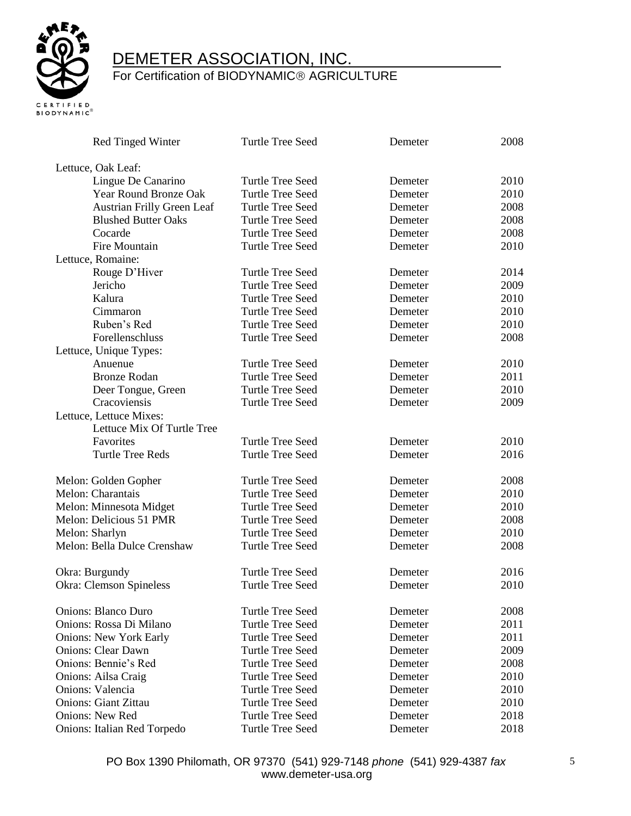

| <b>Red Tinged Winter</b>          | <b>Turtle Tree Seed</b> | Demeter | 2008 |
|-----------------------------------|-------------------------|---------|------|
| Lettuce, Oak Leaf:                |                         |         |      |
| Lingue De Canarino                | Turtle Tree Seed        | Demeter | 2010 |
| Year Round Bronze Oak             | <b>Turtle Tree Seed</b> | Demeter | 2010 |
| <b>Austrian Frilly Green Leaf</b> | <b>Turtle Tree Seed</b> | Demeter | 2008 |
| <b>Blushed Butter Oaks</b>        | Turtle Tree Seed        | Demeter | 2008 |
| Cocarde                           | Turtle Tree Seed        | Demeter | 2008 |
| Fire Mountain                     | Turtle Tree Seed        | Demeter | 2010 |
| Lettuce, Romaine:                 |                         |         |      |
| Rouge D'Hiver                     | <b>Turtle Tree Seed</b> | Demeter | 2014 |
| Jericho                           | <b>Turtle Tree Seed</b> | Demeter | 2009 |
| Kalura                            | <b>Turtle Tree Seed</b> | Demeter | 2010 |
| Cimmaron                          | <b>Turtle Tree Seed</b> | Demeter | 2010 |
| Ruben's Red                       | <b>Turtle Tree Seed</b> | Demeter | 2010 |
| Forellenschluss                   | <b>Turtle Tree Seed</b> | Demeter | 2008 |
| Lettuce, Unique Types:            |                         |         |      |
| Anuenue                           | <b>Turtle Tree Seed</b> | Demeter | 2010 |
| <b>Bronze Rodan</b>               | <b>Turtle Tree Seed</b> | Demeter | 2011 |
| Deer Tongue, Green                | <b>Turtle Tree Seed</b> | Demeter | 2010 |
| Cracoviensis                      | <b>Turtle Tree Seed</b> | Demeter | 2009 |
| Lettuce, Lettuce Mixes:           |                         |         |      |
| Lettuce Mix Of Turtle Tree        |                         |         |      |
| Favorites                         | <b>Turtle Tree Seed</b> | Demeter | 2010 |
| <b>Turtle Tree Reds</b>           | <b>Turtle Tree Seed</b> | Demeter | 2016 |
| Melon: Golden Gopher              | <b>Turtle Tree Seed</b> | Demeter | 2008 |
| Melon: Charantais                 | Turtle Tree Seed        | Demeter | 2010 |
| Melon: Minnesota Midget           | Turtle Tree Seed        | Demeter | 2010 |
| Melon: Delicious 51 PMR           | <b>Turtle Tree Seed</b> | Demeter | 2008 |
| Melon: Sharlyn                    | <b>Turtle Tree Seed</b> | Demeter | 2010 |
| Melon: Bella Dulce Crenshaw       | <b>Turtle Tree Seed</b> | Demeter | 2008 |
| Okra: Burgundy                    | <b>Turtle Tree Seed</b> | Demeter | 2016 |
| Okra: Clemson Spineless           | <b>Turtle Tree Seed</b> | Demeter | 2010 |
| <b>Onions: Blanco Duro</b>        | <b>Turtle Tree Seed</b> | Demeter | 2008 |
| Onions: Rossa Di Milano           | <b>Turtle Tree Seed</b> | Demeter | 2011 |
| <b>Onions: New York Early</b>     | <b>Turtle Tree Seed</b> | Demeter | 2011 |
| <b>Onions: Clear Dawn</b>         | <b>Turtle Tree Seed</b> | Demeter | 2009 |
| Onions: Bennie's Red              | <b>Turtle Tree Seed</b> | Demeter | 2008 |
| Onions: Ailsa Craig               | <b>Turtle Tree Seed</b> | Demeter | 2010 |
| Onions: Valencia                  | <b>Turtle Tree Seed</b> | Demeter | 2010 |
| <b>Onions: Giant Zittau</b>       | <b>Turtle Tree Seed</b> | Demeter | 2010 |
| <b>Onions: New Red</b>            | <b>Turtle Tree Seed</b> | Demeter | 2018 |
| Onions: Italian Red Torpedo       | <b>Turtle Tree Seed</b> | Demeter | 2018 |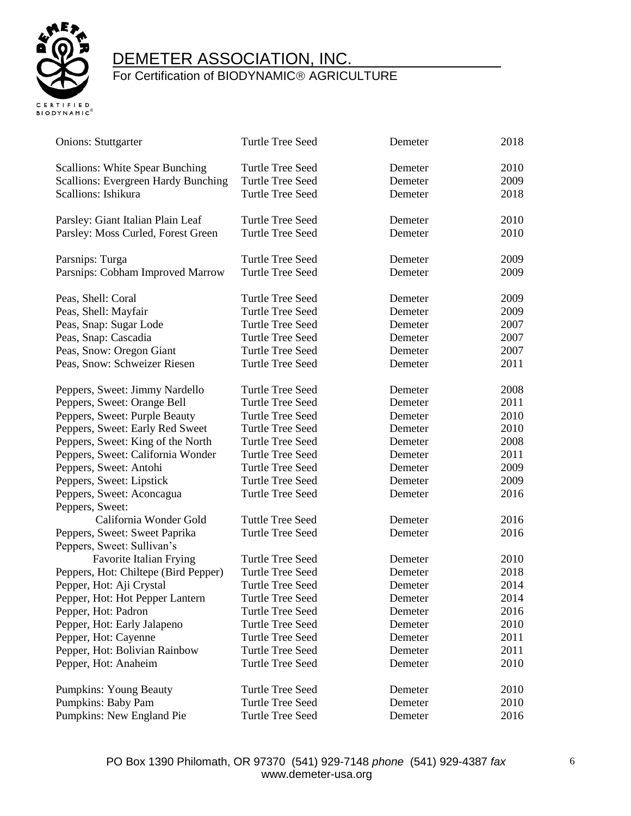

| 2010<br><b>Scallions: White Spear Bunching</b><br>Turtle Tree Seed<br>Demeter<br><b>Scallions: Evergreen Hardy Bunching</b><br><b>Turtle Tree Seed</b><br>2009<br>Demeter<br>Scallions: Ishikura<br><b>Turtle Tree Seed</b><br>2018<br>Demeter<br>2010<br>Parsley: Giant Italian Plain Leaf<br>Turtle Tree Seed<br>Demeter<br>2010<br>Parsley: Moss Curled, Forest Green<br><b>Turtle Tree Seed</b><br>Demeter<br><b>Turtle Tree Seed</b><br>2009<br>Parsnips: Turga<br>Demeter<br>Parsnips: Cobham Improved Marrow<br><b>Turtle Tree Seed</b><br>2009<br>Demeter<br><b>Turtle Tree Seed</b><br>2009<br>Peas, Shell: Coral<br>Demeter<br>Peas, Shell: Mayfair<br><b>Turtle Tree Seed</b><br>2009<br>Demeter<br>Peas, Snap: Sugar Lode<br><b>Turtle Tree Seed</b><br>2007<br>Demeter<br>Peas, Snap: Cascadia<br><b>Turtle Tree Seed</b><br>2007<br>Demeter<br><b>Turtle Tree Seed</b><br>2007<br>Peas, Snow: Oregon Giant<br>Demeter<br>2011<br>Peas, Snow: Schweizer Riesen<br><b>Turtle Tree Seed</b><br>Demeter<br>Peppers, Sweet: Jimmy Nardello<br>Turtle Tree Seed<br>2008<br>Demeter<br>Peppers, Sweet: Orange Bell<br><b>Turtle Tree Seed</b><br>2011<br>Demeter<br>Peppers, Sweet: Purple Beauty<br><b>Turtle Tree Seed</b><br>2010<br>Demeter<br>Peppers, Sweet: Early Red Sweet<br>2010<br>Turtle Tree Seed<br>Demeter<br>2008<br>Peppers, Sweet: King of the North<br>Turtle Tree Seed<br>Demeter<br>Peppers, Sweet: California Wonder<br><b>Turtle Tree Seed</b><br>2011<br>Demeter<br>2009<br>Peppers, Sweet: Antohi<br><b>Turtle Tree Seed</b><br>Demeter<br><b>Turtle Tree Seed</b><br>2009<br>Peppers, Sweet: Lipstick<br>Demeter<br>2016<br><b>Turtle Tree Seed</b><br>Peppers, Sweet: Aconcagua<br>Demeter<br>Peppers, Sweet:<br>California Wonder Gold<br><b>Tuttle Tree Seed</b><br>2016<br>Demeter<br>Peppers, Sweet: Sweet Paprika<br>Turtle Tree Seed<br>Demeter<br>2016<br>Peppers, Sweet: Sullivan's<br>Favorite Italian Frying<br><b>Turtle Tree Seed</b><br>2010<br>Demeter<br>Peppers, Hot: Chiltepe (Bird Pepper)<br><b>Turtle Tree Seed</b><br>2018<br>Demeter<br>Pepper, Hot: Aji Crystal<br><b>Turtle Tree Seed</b><br>2014<br>Demeter<br>Pepper, Hot: Hot Pepper Lantern<br>2014<br>Turtle Tree Seed<br>Demeter<br><b>Turtle Tree Seed</b><br>2016<br>Pepper, Hot: Padron<br>Demeter<br>2010<br>Pepper, Hot: Early Jalapeno<br><b>Turtle Tree Seed</b><br>Demeter<br><b>Turtle Tree Seed</b><br>2011<br>Pepper, Hot: Cayenne<br>Demeter<br><b>Turtle Tree Seed</b><br>2011<br>Pepper, Hot: Bolivian Rainbow<br>Demeter<br><b>Turtle Tree Seed</b><br>2010<br>Pepper, Hot: Anaheim<br>Demeter<br><b>Turtle Tree Seed</b><br>2010<br><b>Pumpkins: Young Beauty</b><br>Demeter | <b>Onions: Stuttgarter</b> | <b>Turtle Tree Seed</b> | Demeter | 2018 |
|--------------------------------------------------------------------------------------------------------------------------------------------------------------------------------------------------------------------------------------------------------------------------------------------------------------------------------------------------------------------------------------------------------------------------------------------------------------------------------------------------------------------------------------------------------------------------------------------------------------------------------------------------------------------------------------------------------------------------------------------------------------------------------------------------------------------------------------------------------------------------------------------------------------------------------------------------------------------------------------------------------------------------------------------------------------------------------------------------------------------------------------------------------------------------------------------------------------------------------------------------------------------------------------------------------------------------------------------------------------------------------------------------------------------------------------------------------------------------------------------------------------------------------------------------------------------------------------------------------------------------------------------------------------------------------------------------------------------------------------------------------------------------------------------------------------------------------------------------------------------------------------------------------------------------------------------------------------------------------------------------------------------------------------------------------------------------------------------------------------------------------------------------------------------------------------------------------------------------------------------------------------------------------------------------------------------------------------------------------------------------------------------------------------------------------------------------------------------------------------------------------------------------------------------------------------------------------------------------------------------------------------------------------------------------------------------------------------|----------------------------|-------------------------|---------|------|
|                                                                                                                                                                                                                                                                                                                                                                                                                                                                                                                                                                                                                                                                                                                                                                                                                                                                                                                                                                                                                                                                                                                                                                                                                                                                                                                                                                                                                                                                                                                                                                                                                                                                                                                                                                                                                                                                                                                                                                                                                                                                                                                                                                                                                                                                                                                                                                                                                                                                                                                                                                                                                                                                                                              |                            |                         |         |      |
|                                                                                                                                                                                                                                                                                                                                                                                                                                                                                                                                                                                                                                                                                                                                                                                                                                                                                                                                                                                                                                                                                                                                                                                                                                                                                                                                                                                                                                                                                                                                                                                                                                                                                                                                                                                                                                                                                                                                                                                                                                                                                                                                                                                                                                                                                                                                                                                                                                                                                                                                                                                                                                                                                                              |                            |                         |         |      |
|                                                                                                                                                                                                                                                                                                                                                                                                                                                                                                                                                                                                                                                                                                                                                                                                                                                                                                                                                                                                                                                                                                                                                                                                                                                                                                                                                                                                                                                                                                                                                                                                                                                                                                                                                                                                                                                                                                                                                                                                                                                                                                                                                                                                                                                                                                                                                                                                                                                                                                                                                                                                                                                                                                              |                            |                         |         |      |
|                                                                                                                                                                                                                                                                                                                                                                                                                                                                                                                                                                                                                                                                                                                                                                                                                                                                                                                                                                                                                                                                                                                                                                                                                                                                                                                                                                                                                                                                                                                                                                                                                                                                                                                                                                                                                                                                                                                                                                                                                                                                                                                                                                                                                                                                                                                                                                                                                                                                                                                                                                                                                                                                                                              |                            |                         |         |      |
|                                                                                                                                                                                                                                                                                                                                                                                                                                                                                                                                                                                                                                                                                                                                                                                                                                                                                                                                                                                                                                                                                                                                                                                                                                                                                                                                                                                                                                                                                                                                                                                                                                                                                                                                                                                                                                                                                                                                                                                                                                                                                                                                                                                                                                                                                                                                                                                                                                                                                                                                                                                                                                                                                                              |                            |                         |         |      |
|                                                                                                                                                                                                                                                                                                                                                                                                                                                                                                                                                                                                                                                                                                                                                                                                                                                                                                                                                                                                                                                                                                                                                                                                                                                                                                                                                                                                                                                                                                                                                                                                                                                                                                                                                                                                                                                                                                                                                                                                                                                                                                                                                                                                                                                                                                                                                                                                                                                                                                                                                                                                                                                                                                              |                            |                         |         |      |
|                                                                                                                                                                                                                                                                                                                                                                                                                                                                                                                                                                                                                                                                                                                                                                                                                                                                                                                                                                                                                                                                                                                                                                                                                                                                                                                                                                                                                                                                                                                                                                                                                                                                                                                                                                                                                                                                                                                                                                                                                                                                                                                                                                                                                                                                                                                                                                                                                                                                                                                                                                                                                                                                                                              |                            |                         |         |      |
|                                                                                                                                                                                                                                                                                                                                                                                                                                                                                                                                                                                                                                                                                                                                                                                                                                                                                                                                                                                                                                                                                                                                                                                                                                                                                                                                                                                                                                                                                                                                                                                                                                                                                                                                                                                                                                                                                                                                                                                                                                                                                                                                                                                                                                                                                                                                                                                                                                                                                                                                                                                                                                                                                                              |                            |                         |         |      |
|                                                                                                                                                                                                                                                                                                                                                                                                                                                                                                                                                                                                                                                                                                                                                                                                                                                                                                                                                                                                                                                                                                                                                                                                                                                                                                                                                                                                                                                                                                                                                                                                                                                                                                                                                                                                                                                                                                                                                                                                                                                                                                                                                                                                                                                                                                                                                                                                                                                                                                                                                                                                                                                                                                              |                            |                         |         |      |
|                                                                                                                                                                                                                                                                                                                                                                                                                                                                                                                                                                                                                                                                                                                                                                                                                                                                                                                                                                                                                                                                                                                                                                                                                                                                                                                                                                                                                                                                                                                                                                                                                                                                                                                                                                                                                                                                                                                                                                                                                                                                                                                                                                                                                                                                                                                                                                                                                                                                                                                                                                                                                                                                                                              |                            |                         |         |      |
|                                                                                                                                                                                                                                                                                                                                                                                                                                                                                                                                                                                                                                                                                                                                                                                                                                                                                                                                                                                                                                                                                                                                                                                                                                                                                                                                                                                                                                                                                                                                                                                                                                                                                                                                                                                                                                                                                                                                                                                                                                                                                                                                                                                                                                                                                                                                                                                                                                                                                                                                                                                                                                                                                                              |                            |                         |         |      |
|                                                                                                                                                                                                                                                                                                                                                                                                                                                                                                                                                                                                                                                                                                                                                                                                                                                                                                                                                                                                                                                                                                                                                                                                                                                                                                                                                                                                                                                                                                                                                                                                                                                                                                                                                                                                                                                                                                                                                                                                                                                                                                                                                                                                                                                                                                                                                                                                                                                                                                                                                                                                                                                                                                              |                            |                         |         |      |
|                                                                                                                                                                                                                                                                                                                                                                                                                                                                                                                                                                                                                                                                                                                                                                                                                                                                                                                                                                                                                                                                                                                                                                                                                                                                                                                                                                                                                                                                                                                                                                                                                                                                                                                                                                                                                                                                                                                                                                                                                                                                                                                                                                                                                                                                                                                                                                                                                                                                                                                                                                                                                                                                                                              |                            |                         |         |      |
|                                                                                                                                                                                                                                                                                                                                                                                                                                                                                                                                                                                                                                                                                                                                                                                                                                                                                                                                                                                                                                                                                                                                                                                                                                                                                                                                                                                                                                                                                                                                                                                                                                                                                                                                                                                                                                                                                                                                                                                                                                                                                                                                                                                                                                                                                                                                                                                                                                                                                                                                                                                                                                                                                                              |                            |                         |         |      |
|                                                                                                                                                                                                                                                                                                                                                                                                                                                                                                                                                                                                                                                                                                                                                                                                                                                                                                                                                                                                                                                                                                                                                                                                                                                                                                                                                                                                                                                                                                                                                                                                                                                                                                                                                                                                                                                                                                                                                                                                                                                                                                                                                                                                                                                                                                                                                                                                                                                                                                                                                                                                                                                                                                              |                            |                         |         |      |
|                                                                                                                                                                                                                                                                                                                                                                                                                                                                                                                                                                                                                                                                                                                                                                                                                                                                                                                                                                                                                                                                                                                                                                                                                                                                                                                                                                                                                                                                                                                                                                                                                                                                                                                                                                                                                                                                                                                                                                                                                                                                                                                                                                                                                                                                                                                                                                                                                                                                                                                                                                                                                                                                                                              |                            |                         |         |      |
|                                                                                                                                                                                                                                                                                                                                                                                                                                                                                                                                                                                                                                                                                                                                                                                                                                                                                                                                                                                                                                                                                                                                                                                                                                                                                                                                                                                                                                                                                                                                                                                                                                                                                                                                                                                                                                                                                                                                                                                                                                                                                                                                                                                                                                                                                                                                                                                                                                                                                                                                                                                                                                                                                                              |                            |                         |         |      |
|                                                                                                                                                                                                                                                                                                                                                                                                                                                                                                                                                                                                                                                                                                                                                                                                                                                                                                                                                                                                                                                                                                                                                                                                                                                                                                                                                                                                                                                                                                                                                                                                                                                                                                                                                                                                                                                                                                                                                                                                                                                                                                                                                                                                                                                                                                                                                                                                                                                                                                                                                                                                                                                                                                              |                            |                         |         |      |
|                                                                                                                                                                                                                                                                                                                                                                                                                                                                                                                                                                                                                                                                                                                                                                                                                                                                                                                                                                                                                                                                                                                                                                                                                                                                                                                                                                                                                                                                                                                                                                                                                                                                                                                                                                                                                                                                                                                                                                                                                                                                                                                                                                                                                                                                                                                                                                                                                                                                                                                                                                                                                                                                                                              |                            |                         |         |      |
|                                                                                                                                                                                                                                                                                                                                                                                                                                                                                                                                                                                                                                                                                                                                                                                                                                                                                                                                                                                                                                                                                                                                                                                                                                                                                                                                                                                                                                                                                                                                                                                                                                                                                                                                                                                                                                                                                                                                                                                                                                                                                                                                                                                                                                                                                                                                                                                                                                                                                                                                                                                                                                                                                                              |                            |                         |         |      |
|                                                                                                                                                                                                                                                                                                                                                                                                                                                                                                                                                                                                                                                                                                                                                                                                                                                                                                                                                                                                                                                                                                                                                                                                                                                                                                                                                                                                                                                                                                                                                                                                                                                                                                                                                                                                                                                                                                                                                                                                                                                                                                                                                                                                                                                                                                                                                                                                                                                                                                                                                                                                                                                                                                              |                            |                         |         |      |
|                                                                                                                                                                                                                                                                                                                                                                                                                                                                                                                                                                                                                                                                                                                                                                                                                                                                                                                                                                                                                                                                                                                                                                                                                                                                                                                                                                                                                                                                                                                                                                                                                                                                                                                                                                                                                                                                                                                                                                                                                                                                                                                                                                                                                                                                                                                                                                                                                                                                                                                                                                                                                                                                                                              |                            |                         |         |      |
|                                                                                                                                                                                                                                                                                                                                                                                                                                                                                                                                                                                                                                                                                                                                                                                                                                                                                                                                                                                                                                                                                                                                                                                                                                                                                                                                                                                                                                                                                                                                                                                                                                                                                                                                                                                                                                                                                                                                                                                                                                                                                                                                                                                                                                                                                                                                                                                                                                                                                                                                                                                                                                                                                                              |                            |                         |         |      |
|                                                                                                                                                                                                                                                                                                                                                                                                                                                                                                                                                                                                                                                                                                                                                                                                                                                                                                                                                                                                                                                                                                                                                                                                                                                                                                                                                                                                                                                                                                                                                                                                                                                                                                                                                                                                                                                                                                                                                                                                                                                                                                                                                                                                                                                                                                                                                                                                                                                                                                                                                                                                                                                                                                              |                            |                         |         |      |
|                                                                                                                                                                                                                                                                                                                                                                                                                                                                                                                                                                                                                                                                                                                                                                                                                                                                                                                                                                                                                                                                                                                                                                                                                                                                                                                                                                                                                                                                                                                                                                                                                                                                                                                                                                                                                                                                                                                                                                                                                                                                                                                                                                                                                                                                                                                                                                                                                                                                                                                                                                                                                                                                                                              |                            |                         |         |      |
|                                                                                                                                                                                                                                                                                                                                                                                                                                                                                                                                                                                                                                                                                                                                                                                                                                                                                                                                                                                                                                                                                                                                                                                                                                                                                                                                                                                                                                                                                                                                                                                                                                                                                                                                                                                                                                                                                                                                                                                                                                                                                                                                                                                                                                                                                                                                                                                                                                                                                                                                                                                                                                                                                                              |                            |                         |         |      |
|                                                                                                                                                                                                                                                                                                                                                                                                                                                                                                                                                                                                                                                                                                                                                                                                                                                                                                                                                                                                                                                                                                                                                                                                                                                                                                                                                                                                                                                                                                                                                                                                                                                                                                                                                                                                                                                                                                                                                                                                                                                                                                                                                                                                                                                                                                                                                                                                                                                                                                                                                                                                                                                                                                              |                            |                         |         |      |
|                                                                                                                                                                                                                                                                                                                                                                                                                                                                                                                                                                                                                                                                                                                                                                                                                                                                                                                                                                                                                                                                                                                                                                                                                                                                                                                                                                                                                                                                                                                                                                                                                                                                                                                                                                                                                                                                                                                                                                                                                                                                                                                                                                                                                                                                                                                                                                                                                                                                                                                                                                                                                                                                                                              |                            |                         |         |      |
|                                                                                                                                                                                                                                                                                                                                                                                                                                                                                                                                                                                                                                                                                                                                                                                                                                                                                                                                                                                                                                                                                                                                                                                                                                                                                                                                                                                                                                                                                                                                                                                                                                                                                                                                                                                                                                                                                                                                                                                                                                                                                                                                                                                                                                                                                                                                                                                                                                                                                                                                                                                                                                                                                                              |                            |                         |         |      |
|                                                                                                                                                                                                                                                                                                                                                                                                                                                                                                                                                                                                                                                                                                                                                                                                                                                                                                                                                                                                                                                                                                                                                                                                                                                                                                                                                                                                                                                                                                                                                                                                                                                                                                                                                                                                                                                                                                                                                                                                                                                                                                                                                                                                                                                                                                                                                                                                                                                                                                                                                                                                                                                                                                              |                            |                         |         |      |
|                                                                                                                                                                                                                                                                                                                                                                                                                                                                                                                                                                                                                                                                                                                                                                                                                                                                                                                                                                                                                                                                                                                                                                                                                                                                                                                                                                                                                                                                                                                                                                                                                                                                                                                                                                                                                                                                                                                                                                                                                                                                                                                                                                                                                                                                                                                                                                                                                                                                                                                                                                                                                                                                                                              |                            |                         |         |      |
|                                                                                                                                                                                                                                                                                                                                                                                                                                                                                                                                                                                                                                                                                                                                                                                                                                                                                                                                                                                                                                                                                                                                                                                                                                                                                                                                                                                                                                                                                                                                                                                                                                                                                                                                                                                                                                                                                                                                                                                                                                                                                                                                                                                                                                                                                                                                                                                                                                                                                                                                                                                                                                                                                                              |                            |                         |         |      |
|                                                                                                                                                                                                                                                                                                                                                                                                                                                                                                                                                                                                                                                                                                                                                                                                                                                                                                                                                                                                                                                                                                                                                                                                                                                                                                                                                                                                                                                                                                                                                                                                                                                                                                                                                                                                                                                                                                                                                                                                                                                                                                                                                                                                                                                                                                                                                                                                                                                                                                                                                                                                                                                                                                              |                            |                         |         |      |
|                                                                                                                                                                                                                                                                                                                                                                                                                                                                                                                                                                                                                                                                                                                                                                                                                                                                                                                                                                                                                                                                                                                                                                                                                                                                                                                                                                                                                                                                                                                                                                                                                                                                                                                                                                                                                                                                                                                                                                                                                                                                                                                                                                                                                                                                                                                                                                                                                                                                                                                                                                                                                                                                                                              |                            |                         |         |      |
|                                                                                                                                                                                                                                                                                                                                                                                                                                                                                                                                                                                                                                                                                                                                                                                                                                                                                                                                                                                                                                                                                                                                                                                                                                                                                                                                                                                                                                                                                                                                                                                                                                                                                                                                                                                                                                                                                                                                                                                                                                                                                                                                                                                                                                                                                                                                                                                                                                                                                                                                                                                                                                                                                                              |                            |                         |         |      |
|                                                                                                                                                                                                                                                                                                                                                                                                                                                                                                                                                                                                                                                                                                                                                                                                                                                                                                                                                                                                                                                                                                                                                                                                                                                                                                                                                                                                                                                                                                                                                                                                                                                                                                                                                                                                                                                                                                                                                                                                                                                                                                                                                                                                                                                                                                                                                                                                                                                                                                                                                                                                                                                                                                              |                            |                         |         |      |
|                                                                                                                                                                                                                                                                                                                                                                                                                                                                                                                                                                                                                                                                                                                                                                                                                                                                                                                                                                                                                                                                                                                                                                                                                                                                                                                                                                                                                                                                                                                                                                                                                                                                                                                                                                                                                                                                                                                                                                                                                                                                                                                                                                                                                                                                                                                                                                                                                                                                                                                                                                                                                                                                                                              |                            |                         |         |      |
|                                                                                                                                                                                                                                                                                                                                                                                                                                                                                                                                                                                                                                                                                                                                                                                                                                                                                                                                                                                                                                                                                                                                                                                                                                                                                                                                                                                                                                                                                                                                                                                                                                                                                                                                                                                                                                                                                                                                                                                                                                                                                                                                                                                                                                                                                                                                                                                                                                                                                                                                                                                                                                                                                                              |                            |                         |         |      |
|                                                                                                                                                                                                                                                                                                                                                                                                                                                                                                                                                                                                                                                                                                                                                                                                                                                                                                                                                                                                                                                                                                                                                                                                                                                                                                                                                                                                                                                                                                                                                                                                                                                                                                                                                                                                                                                                                                                                                                                                                                                                                                                                                                                                                                                                                                                                                                                                                                                                                                                                                                                                                                                                                                              |                            |                         |         |      |
|                                                                                                                                                                                                                                                                                                                                                                                                                                                                                                                                                                                                                                                                                                                                                                                                                                                                                                                                                                                                                                                                                                                                                                                                                                                                                                                                                                                                                                                                                                                                                                                                                                                                                                                                                                                                                                                                                                                                                                                                                                                                                                                                                                                                                                                                                                                                                                                                                                                                                                                                                                                                                                                                                                              | Pumpkins: Baby Pam         | <b>Turtle Tree Seed</b> | Demeter | 2010 |
| Pumpkins: New England Pie<br>Turtle Tree Seed<br>2016<br>Demeter                                                                                                                                                                                                                                                                                                                                                                                                                                                                                                                                                                                                                                                                                                                                                                                                                                                                                                                                                                                                                                                                                                                                                                                                                                                                                                                                                                                                                                                                                                                                                                                                                                                                                                                                                                                                                                                                                                                                                                                                                                                                                                                                                                                                                                                                                                                                                                                                                                                                                                                                                                                                                                             |                            |                         |         |      |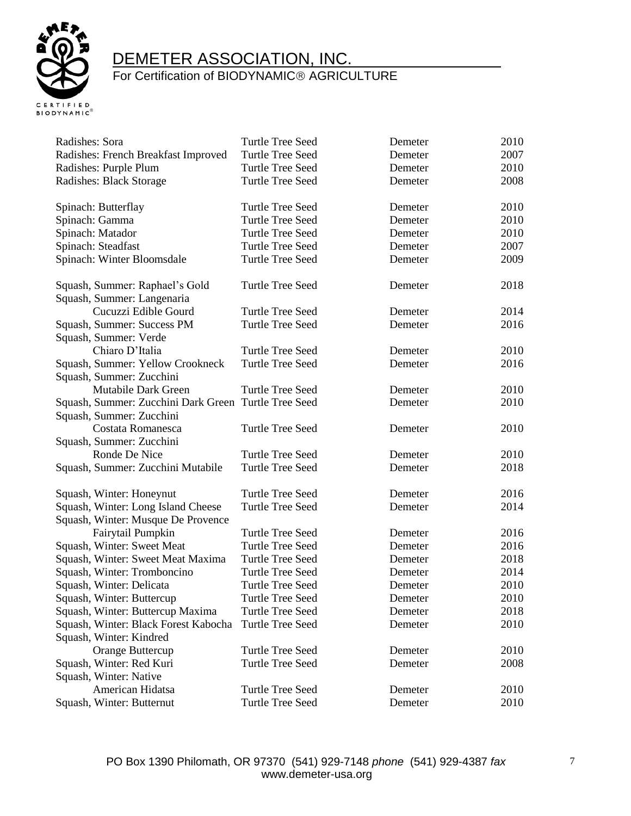

| Radishes: Sora                                       | <b>Turtle Tree Seed</b> | Demeter | 2010 |
|------------------------------------------------------|-------------------------|---------|------|
| Radishes: French Breakfast Improved                  | <b>Turtle Tree Seed</b> | Demeter | 2007 |
| Radishes: Purple Plum                                | <b>Turtle Tree Seed</b> | Demeter | 2010 |
| Radishes: Black Storage                              | Turtle Tree Seed        | Demeter | 2008 |
|                                                      |                         |         |      |
| Spinach: Butterflay                                  | <b>Turtle Tree Seed</b> | Demeter | 2010 |
| Spinach: Gamma                                       | <b>Turtle Tree Seed</b> | Demeter | 2010 |
| Spinach: Matador                                     | <b>Turtle Tree Seed</b> | Demeter | 2010 |
| Spinach: Steadfast                                   | <b>Turtle Tree Seed</b> | Demeter | 2007 |
| Spinach: Winter Bloomsdale                           | <b>Turtle Tree Seed</b> | Demeter | 2009 |
| Squash, Summer: Raphael's Gold                       | <b>Turtle Tree Seed</b> | Demeter | 2018 |
| Squash, Summer: Langenaria                           |                         |         |      |
| Cucuzzi Edible Gourd                                 | <b>Turtle Tree Seed</b> | Demeter | 2014 |
| Squash, Summer: Success PM                           | <b>Turtle Tree Seed</b> | Demeter | 2016 |
| Squash, Summer: Verde                                |                         |         |      |
| Chiaro D'Italia                                      | <b>Turtle Tree Seed</b> | Demeter | 2010 |
|                                                      | <b>Turtle Tree Seed</b> | Demeter | 2016 |
| Squash, Summer: Yellow Crookneck                     |                         |         |      |
| Squash, Summer: Zucchini<br>Mutabile Dark Green      |                         |         | 2010 |
|                                                      | Turtle Tree Seed        | Demeter |      |
| Squash, Summer: Zucchini Dark Green Turtle Tree Seed |                         | Demeter | 2010 |
| Squash, Summer: Zucchini                             |                         |         |      |
| Costata Romanesca                                    | <b>Turtle Tree Seed</b> | Demeter | 2010 |
| Squash, Summer: Zucchini                             |                         |         |      |
| Ronde De Nice                                        | <b>Turtle Tree Seed</b> | Demeter | 2010 |
| Squash, Summer: Zucchini Mutabile                    | <b>Turtle Tree Seed</b> | Demeter | 2018 |
| Squash, Winter: Honeynut                             | <b>Turtle Tree Seed</b> | Demeter | 2016 |
| Squash, Winter: Long Island Cheese                   | <b>Turtle Tree Seed</b> | Demeter | 2014 |
| Squash, Winter: Musque De Provence                   |                         |         |      |
| Fairytail Pumpkin                                    | <b>Turtle Tree Seed</b> | Demeter | 2016 |
| Squash, Winter: Sweet Meat                           | <b>Turtle Tree Seed</b> | Demeter | 2016 |
| Squash, Winter: Sweet Meat Maxima                    | Turtle Tree Seed        | Demeter | 2018 |
| Squash, Winter: Tromboncino                          | Turtle Tree Seed        | Demeter | 2014 |
| Squash, Winter: Delicata                             | <b>Turtle Tree Seed</b> | Demeter | 2010 |
| Squash, Winter: Buttercup                            | <b>Turtle Tree Seed</b> | Demeter | 2010 |
| Squash, Winter: Buttercup Maxima                     | <b>Turtle Tree Seed</b> | Demeter | 2018 |
| Squash, Winter: Black Forest Kabocha                 | <b>Turtle Tree Seed</b> | Demeter | 2010 |
| Squash, Winter: Kindred                              |                         |         |      |
| Orange Buttercup                                     | <b>Turtle Tree Seed</b> | Demeter | 2010 |
| Squash, Winter: Red Kuri                             | <b>Turtle Tree Seed</b> | Demeter | 2008 |
| Squash, Winter: Native                               |                         |         |      |
| American Hidatsa                                     | <b>Turtle Tree Seed</b> | Demeter | 2010 |
| Squash, Winter: Butternut                            | <b>Turtle Tree Seed</b> | Demeter | 2010 |
|                                                      |                         |         |      |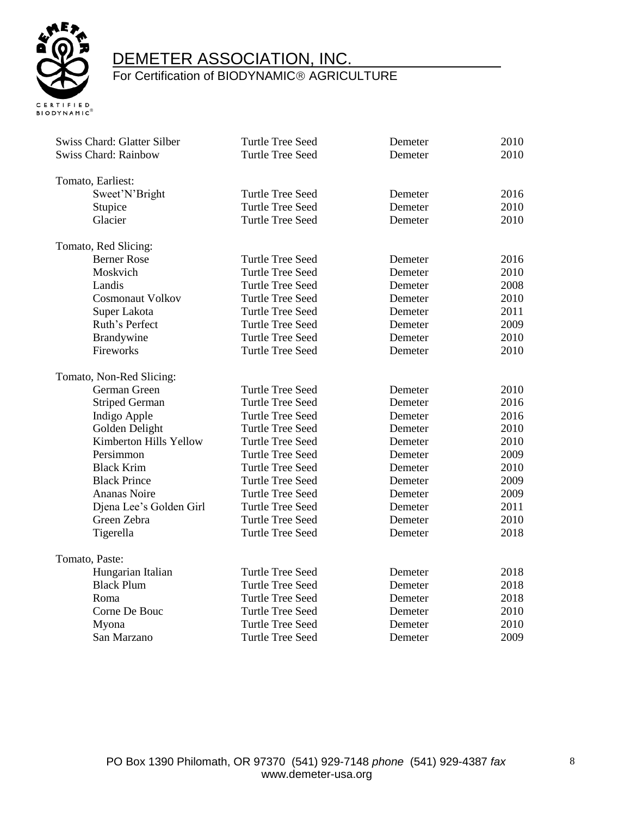

| Swiss Chard: Glatter Silber<br><b>Swiss Chard: Rainbow</b> | <b>Turtle Tree Seed</b><br><b>Turtle Tree Seed</b> | Demeter<br>Demeter | 2010<br>2010 |
|------------------------------------------------------------|----------------------------------------------------|--------------------|--------------|
|                                                            |                                                    |                    |              |
| Tomato, Earliest:                                          |                                                    |                    |              |
| Sweet'N'Bright                                             | <b>Turtle Tree Seed</b>                            | Demeter            | 2016         |
| Stupice                                                    | <b>Turtle Tree Seed</b>                            | Demeter            | 2010         |
| Glacier                                                    | <b>Turtle Tree Seed</b>                            | Demeter            | 2010         |
|                                                            |                                                    |                    |              |
| Tomato, Red Slicing:                                       |                                                    |                    |              |
| <b>Berner Rose</b>                                         | <b>Turtle Tree Seed</b>                            | Demeter            | 2016         |
| Moskvich                                                   | <b>Turtle Tree Seed</b>                            | Demeter            | 2010         |
| Landis                                                     | <b>Turtle Tree Seed</b>                            | Demeter            | 2008         |
| Cosmonaut Volkov                                           | <b>Turtle Tree Seed</b>                            | Demeter            | 2010         |
| Super Lakota                                               | <b>Turtle Tree Seed</b>                            | Demeter            | 2011         |
| Ruth's Perfect                                             | <b>Turtle Tree Seed</b>                            | Demeter            | 2009         |
| Brandywine                                                 | <b>Turtle Tree Seed</b>                            | Demeter            | 2010         |
| Fireworks                                                  | <b>Turtle Tree Seed</b>                            | Demeter            | 2010         |
| Tomato, Non-Red Slicing:                                   |                                                    |                    |              |
| German Green                                               | <b>Turtle Tree Seed</b>                            | Demeter            | 2010         |
| <b>Striped German</b>                                      | <b>Turtle Tree Seed</b>                            | Demeter            | 2016         |
| Indigo Apple                                               | <b>Turtle Tree Seed</b>                            | Demeter            | 2016         |
| Golden Delight                                             | <b>Turtle Tree Seed</b>                            | Demeter            | 2010         |
| Kimberton Hills Yellow                                     | <b>Turtle Tree Seed</b>                            | Demeter            | 2010         |
| Persimmon                                                  | <b>Turtle Tree Seed</b>                            | Demeter            | 2009         |
| <b>Black Krim</b>                                          | <b>Turtle Tree Seed</b>                            | Demeter            | 2010         |
| <b>Black Prince</b>                                        | <b>Turtle Tree Seed</b>                            | Demeter            | 2009         |
| <b>Ananas Noire</b>                                        | <b>Turtle Tree Seed</b>                            | Demeter            | 2009         |
| Djena Lee's Golden Girl                                    | <b>Turtle Tree Seed</b>                            | Demeter            | 2011         |
| Green Zebra                                                | <b>Turtle Tree Seed</b>                            | Demeter            | 2010         |
| Tigerella                                                  | <b>Turtle Tree Seed</b>                            | Demeter            | 2018         |
|                                                            |                                                    |                    |              |
| Tomato, Paste:                                             |                                                    |                    |              |
| Hungarian Italian                                          | <b>Turtle Tree Seed</b>                            | Demeter            | 2018         |
| <b>Black Plum</b>                                          | <b>Turtle Tree Seed</b>                            | Demeter            | 2018         |
| Roma                                                       | <b>Turtle Tree Seed</b>                            | Demeter            | 2018         |
| Corne De Bouc                                              | <b>Turtle Tree Seed</b>                            | Demeter            | 2010         |
| Myona                                                      | <b>Turtle Tree Seed</b>                            | Demeter            | 2010         |
| San Marzano                                                | <b>Turtle Tree Seed</b>                            | Demeter            | 2009         |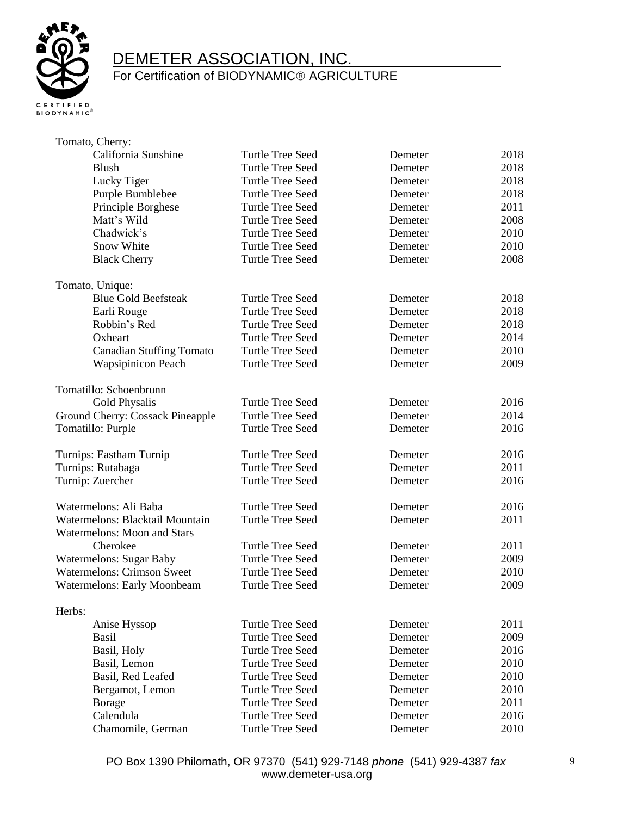

### For Certification of BIODYNAMIC<sup>®</sup> AGRICULTURE

| Tomato, Cherry:                    |                         |         |      |
|------------------------------------|-------------------------|---------|------|
| California Sunshine                | <b>Turtle Tree Seed</b> | Demeter | 2018 |
| Blush                              | <b>Turtle Tree Seed</b> | Demeter | 2018 |
| Lucky Tiger                        | <b>Turtle Tree Seed</b> | Demeter | 2018 |
| Purple Bumblebee                   | <b>Turtle Tree Seed</b> | Demeter | 2018 |
| Principle Borghese                 | <b>Turtle Tree Seed</b> | Demeter | 2011 |
| Matt's Wild                        | Turtle Tree Seed        | Demeter | 2008 |
| Chadwick's                         | Turtle Tree Seed        | Demeter | 2010 |
| Snow White                         | Turtle Tree Seed        | Demeter | 2010 |
| <b>Black Cherry</b>                | <b>Turtle Tree Seed</b> | Demeter | 2008 |
| Tomato, Unique:                    |                         |         |      |
| <b>Blue Gold Beefsteak</b>         | Turtle Tree Seed        | Demeter | 2018 |
| Earli Rouge                        | <b>Turtle Tree Seed</b> | Demeter | 2018 |
| Robbin's Red                       | Turtle Tree Seed        | Demeter | 2018 |
| Oxheart                            | Turtle Tree Seed        | Demeter | 2014 |
| <b>Canadian Stuffing Tomato</b>    | Turtle Tree Seed        | Demeter | 2010 |
| <b>Wapsipinicon Peach</b>          | <b>Turtle Tree Seed</b> | Demeter | 2009 |
| Tomatillo: Schoenbrunn             |                         |         |      |
| Gold Physalis                      | Turtle Tree Seed        | Demeter | 2016 |
| Ground Cherry: Cossack Pineapple   | <b>Turtle Tree Seed</b> | Demeter | 2014 |
| Tomatillo: Purple                  | <b>Turtle Tree Seed</b> | Demeter | 2016 |
| Turnips: Eastham Turnip            | <b>Turtle Tree Seed</b> | Demeter | 2016 |
| Turnips: Rutabaga                  | <b>Turtle Tree Seed</b> | Demeter | 2011 |
| Turnip: Zuercher                   | Turtle Tree Seed        | Demeter | 2016 |
| Watermelons: Ali Baba              | <b>Turtle Tree Seed</b> | Demeter | 2016 |
| Watermelons: Blacktail Mountain    | <b>Turtle Tree Seed</b> | Demeter | 2011 |
| <b>Watermelons: Moon and Stars</b> |                         |         |      |
| Cherokee                           | <b>Turtle Tree Seed</b> | Demeter | 2011 |
| <b>Watermelons: Sugar Baby</b>     | <b>Turtle Tree Seed</b> | Demeter | 2009 |
| <b>Watermelons: Crimson Sweet</b>  | <b>Turtle Tree Seed</b> | Demeter | 2010 |
| <b>Watermelons: Early Moonbeam</b> | <b>Turtle Tree Seed</b> | Demeter | 2009 |
| Herbs:                             |                         |         |      |
| Anise Hyssop                       | Turtle Tree Seed        | Demeter | 2011 |
| Basil                              | Turtle Tree Seed        | Demeter | 2009 |
| Basil, Holy                        | <b>Turtle Tree Seed</b> | Demeter | 2016 |
| Basil, Lemon                       | <b>Turtle Tree Seed</b> | Demeter | 2010 |
| Basil, Red Leafed                  | <b>Turtle Tree Seed</b> | Demeter | 2010 |
| Bergamot, Lemon                    | Turtle Tree Seed        | Demeter | 2010 |
| Borage                             | Turtle Tree Seed        | Demeter | 2011 |
| Calendula                          | Turtle Tree Seed        | Demeter | 2016 |
| Chamomile, German                  | <b>Turtle Tree Seed</b> | Demeter | 2010 |

9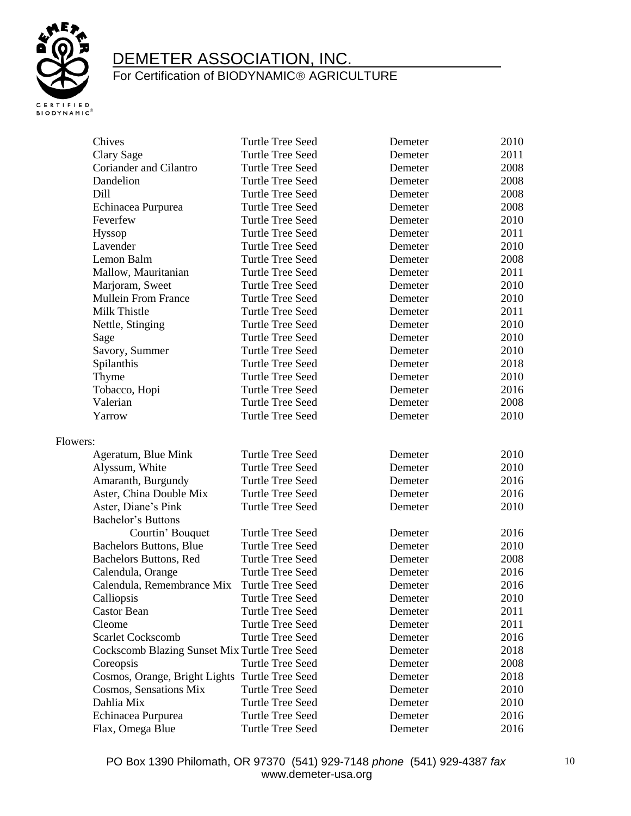

| Chives                                        | <b>Turtle Tree Seed</b> | Demeter | 2010 |
|-----------------------------------------------|-------------------------|---------|------|
| Clary Sage                                    | <b>Turtle Tree Seed</b> | Demeter | 2011 |
| Coriander and Cilantro                        | <b>Turtle Tree Seed</b> | Demeter | 2008 |
| Dandelion                                     | <b>Turtle Tree Seed</b> | Demeter | 2008 |
| Dill                                          | <b>Turtle Tree Seed</b> | Demeter | 2008 |
| Echinacea Purpurea                            | <b>Turtle Tree Seed</b> | Demeter | 2008 |
| Feverfew                                      | <b>Turtle Tree Seed</b> | Demeter | 2010 |
| Hyssop                                        | <b>Turtle Tree Seed</b> | Demeter | 2011 |
| Lavender                                      | <b>Turtle Tree Seed</b> | Demeter | 2010 |
| Lemon Balm                                    | <b>Turtle Tree Seed</b> | Demeter | 2008 |
| Mallow, Mauritanian                           | <b>Turtle Tree Seed</b> | Demeter | 2011 |
| Marjoram, Sweet                               | <b>Turtle Tree Seed</b> | Demeter | 2010 |
| <b>Mullein From France</b>                    | <b>Turtle Tree Seed</b> | Demeter | 2010 |
| Milk Thistle                                  | <b>Turtle Tree Seed</b> | Demeter | 2011 |
| Nettle, Stinging                              | <b>Turtle Tree Seed</b> | Demeter | 2010 |
| Sage                                          | <b>Turtle Tree Seed</b> | Demeter | 2010 |
| Savory, Summer                                | <b>Turtle Tree Seed</b> | Demeter | 2010 |
| Spilanthis                                    | <b>Turtle Tree Seed</b> | Demeter | 2018 |
| Thyme                                         | <b>Turtle Tree Seed</b> | Demeter | 2010 |
| Tobacco, Hopi                                 | <b>Turtle Tree Seed</b> | Demeter | 2016 |
| Valerian                                      | <b>Turtle Tree Seed</b> | Demeter | 2008 |
| Yarrow                                        | <b>Turtle Tree Seed</b> | Demeter | 2010 |
| Flowers:                                      |                         |         |      |
| Ageratum, Blue Mink                           | <b>Turtle Tree Seed</b> | Demeter | 2010 |
| Alyssum, White                                | <b>Turtle Tree Seed</b> | Demeter | 2010 |
| Amaranth, Burgundy                            | <b>Turtle Tree Seed</b> | Demeter | 2016 |
| Aster, China Double Mix                       | <b>Turtle Tree Seed</b> | Demeter | 2016 |
| Aster, Diane's Pink                           | <b>Turtle Tree Seed</b> | Demeter | 2010 |
| Bachelor's Buttons                            |                         |         |      |
| Courtin' Bouquet                              | <b>Turtle Tree Seed</b> | Demeter | 2016 |
| <b>Bachelors Buttons, Blue</b>                | <b>Turtle Tree Seed</b> | Demeter | 2010 |
| Bachelors Buttons, Red                        | <b>Turtle Tree Seed</b> | Demeter | 2008 |
| Calendula, Orange                             | <b>Turtle Tree Seed</b> | Demeter | 2016 |
| Calendula, Remembrance Mix                    | <b>Turtle Tree Seed</b> | Demeter | 2016 |
| Calliopsis                                    | Turtle Tree Seed        | Demeter | 2010 |
| <b>Castor Bean</b>                            | <b>Turtle Tree Seed</b> | Demeter | 2011 |
| Cleome                                        | Turtle Tree Seed        | Demeter | 2011 |
| <b>Scarlet Cockscomb</b>                      | Turtle Tree Seed        | Demeter | 2016 |
| Cockscomb Blazing Sunset Mix Turtle Tree Seed |                         | Demeter | 2018 |
| Coreopsis                                     | <b>Turtle Tree Seed</b> | Demeter | 2008 |
| Cosmos, Orange, Bright Lights                 | <b>Turtle Tree Seed</b> | Demeter | 2018 |
| Cosmos, Sensations Mix                        | Turtle Tree Seed        | Demeter | 2010 |
| Dahlia Mix                                    | <b>Turtle Tree Seed</b> | Demeter | 2010 |
| Echinacea Purpurea                            | Turtle Tree Seed        | Demeter | 2016 |
| Flax, Omega Blue                              | <b>Turtle Tree Seed</b> | Demeter | 2016 |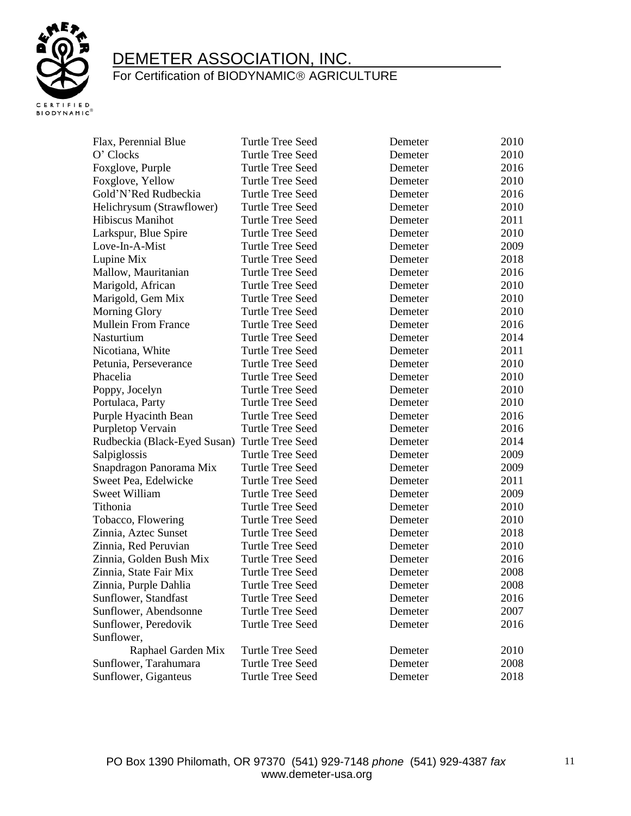

| Flax, Perennial Blue         | Turtle Tree Seed        | Demeter | 2010 |
|------------------------------|-------------------------|---------|------|
| O' Clocks                    | <b>Turtle Tree Seed</b> | Demeter | 2010 |
| Foxglove, Purple             | Turtle Tree Seed        | Demeter | 2016 |
| Foxglove, Yellow             | Turtle Tree Seed        | Demeter | 2010 |
| Gold'N'Red Rudbeckia         | Turtle Tree Seed        | Demeter | 2016 |
| Helichrysum (Strawflower)    | <b>Turtle Tree Seed</b> | Demeter | 2010 |
| Hibiscus Manihot             | Turtle Tree Seed        | Demeter | 2011 |
| Larkspur, Blue Spire         | Turtle Tree Seed        | Demeter | 2010 |
| Love-In-A-Mist               | <b>Turtle Tree Seed</b> | Demeter | 2009 |
| Lupine Mix                   | <b>Turtle Tree Seed</b> | Demeter | 2018 |
| Mallow, Mauritanian          | <b>Turtle Tree Seed</b> | Demeter | 2016 |
| Marigold, African            | <b>Turtle Tree Seed</b> | Demeter | 2010 |
| Marigold, Gem Mix            | Turtle Tree Seed        | Demeter | 2010 |
| <b>Morning Glory</b>         | Turtle Tree Seed        | Demeter | 2010 |
| <b>Mullein From France</b>   | <b>Turtle Tree Seed</b> | Demeter | 2016 |
| Nasturtium                   | Turtle Tree Seed        | Demeter | 2014 |
| Nicotiana, White             | <b>Turtle Tree Seed</b> | Demeter | 2011 |
| Petunia, Perseverance        | Turtle Tree Seed        | Demeter | 2010 |
| Phacelia                     | <b>Turtle Tree Seed</b> | Demeter | 2010 |
| Poppy, Jocelyn               | <b>Turtle Tree Seed</b> | Demeter | 2010 |
| Portulaca, Party             | Turtle Tree Seed        | Demeter | 2010 |
| Purple Hyacinth Bean         | <b>Turtle Tree Seed</b> | Demeter | 2016 |
| Purpletop Vervain            | Turtle Tree Seed        | Demeter | 2016 |
| Rudbeckia (Black-Eyed Susan) | Turtle Tree Seed        | Demeter | 2014 |
| Salpiglossis                 | <b>Turtle Tree Seed</b> | Demeter | 2009 |
| Snapdragon Panorama Mix      | <b>Turtle Tree Seed</b> | Demeter | 2009 |
| Sweet Pea, Edelwicke         | <b>Turtle Tree Seed</b> | Demeter | 2011 |
| Sweet William                | <b>Turtle Tree Seed</b> | Demeter | 2009 |
| Tithonia                     | <b>Turtle Tree Seed</b> | Demeter | 2010 |
| Tobacco, Flowering           | <b>Turtle Tree Seed</b> | Demeter | 2010 |
| Zinnia, Aztec Sunset         | Turtle Tree Seed        | Demeter | 2018 |
| Zinnia, Red Peruvian         | Turtle Tree Seed        | Demeter | 2010 |
| Zinnia, Golden Bush Mix      | Turtle Tree Seed        | Demeter | 2016 |
| Zinnia, State Fair Mix       | Turtle Tree Seed        | Demeter | 2008 |
| Zinnia, Purple Dahlia        | Turtle Tree Seed        | Demeter | 2008 |
| Sunflower, Standfast         | <b>Turtle Tree Seed</b> | Demeter | 2016 |
| Sunflower, Abendsonne        | Turtle Tree Seed        | Demeter | 2007 |
| Sunflower, Peredovik         | Turtle Tree Seed        | Demeter | 2016 |
| Sunflower,                   |                         |         |      |
| Raphael Garden Mix           | <b>Turtle Tree Seed</b> | Demeter | 2010 |
| Sunflower, Tarahumara        | <b>Turtle Tree Seed</b> | Demeter | 2008 |
| Sunflower, Giganteus         | <b>Turtle Tree Seed</b> | Demeter | 2018 |